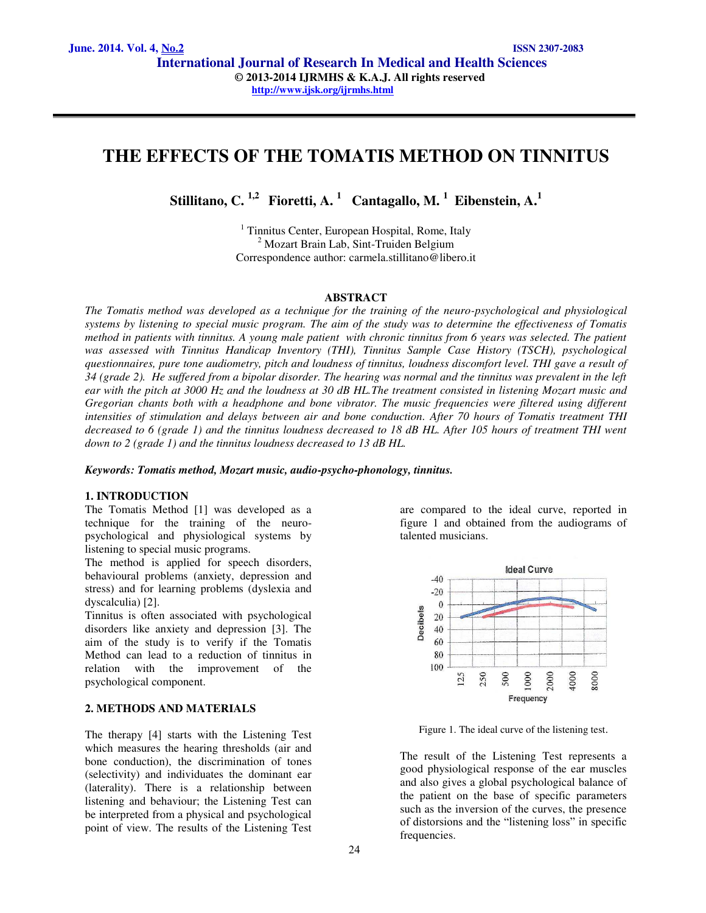# **THE EFFECTS OF THE TOMATIS METHOD ON TINNITUS**

**Stillitano, C. 1,2 Fioretti, A. <sup>1</sup> Cantagallo, M. <sup>1</sup>Eibenstein, A.<sup>1</sup>**

<sup>1</sup> Tinnitus Center, European Hospital, Rome, Italy 2 Mozart Brain Lab, Sint-Truiden Belgium Correspondence author: carmela.stillitano@libero.it

## **ABSTRACT**

*The Tomatis method was developed as a technique for the training of the neuro-psychological and physiological systems by listening to special music program. The aim of the study was to determine the effectiveness of Tomatis method in patients with tinnitus. A young male patient with chronic tinnitus from 6 years was selected. The patient* was assessed with Tinnitus Handicap Inventory (THI), Tinnitus Sample Case History (TSCH), psychological *questionnaires, pure tone audiometry, pitch and loudness of tinnitus, loudness discomfort level. THI gave a result of 34 (grade 2). He suffered from a bipolar disorder. The hearing was normal and the tinnitus was prevalent in the left ear with the pitch at 3000 Hz and the loudness at 30 dB HL.The treatment consisted in listening Mozart music and Gregorian chants both with a headphone and bone vibrator. The music frequencies were filtered using different intensities of stimulation and delays between air and bone conduction. After 70 hours of Tomatis treatment THI*  decreased to 6 (grade 1) and the tinnitus loudness decreased to 18 dB HL. After 105 hours of treatment THI went *down to 2 (grade 1) and the tinnitus loudness decreased to 13 dB HL.* 

*Keywords: Tomatis method, Mozart music, audio-psycho-phonology, tinnitus.*

# **1. INTRODUCTION**

The Tomatis Method [1] was developed as a technique for the training of the neuropsychological and physiological systems by listening to special music programs.

The method is applied for speech disorders, behavioural problems (anxiety, depression and stress) and for learning problems (dyslexia and dyscalculia) [2].

Tinnitus is often associated with psychological disorders like anxiety and depression [3]. The aim of the study is to verify if the Tomatis Method can lead to a reduction of tinnitus in relation with the improvement of the psychological component.

# **2. METHODS AND MATERIALS**

The therapy [4] starts with the Listening Test which measures the hearing thresholds (air and bone conduction), the discrimination of tones (selectivity) and individuates the dominant ear (laterality). There is a relationship between listening and behaviour; the Listening Test can be interpreted from a physical and psychological point of view. The results of the Listening Test

are compared to the ideal curve, reported in figure 1 and obtained from the audiograms of talented musicians.



Figure 1. The ideal curve of the listening test.

The result of the Listening Test represents a good physiological response of the ear muscles and also gives a global psychological balance of the patient on the base of specific parameters such as the inversion of the curves, the presence of distorsions and the "listening loss" in specific frequencies.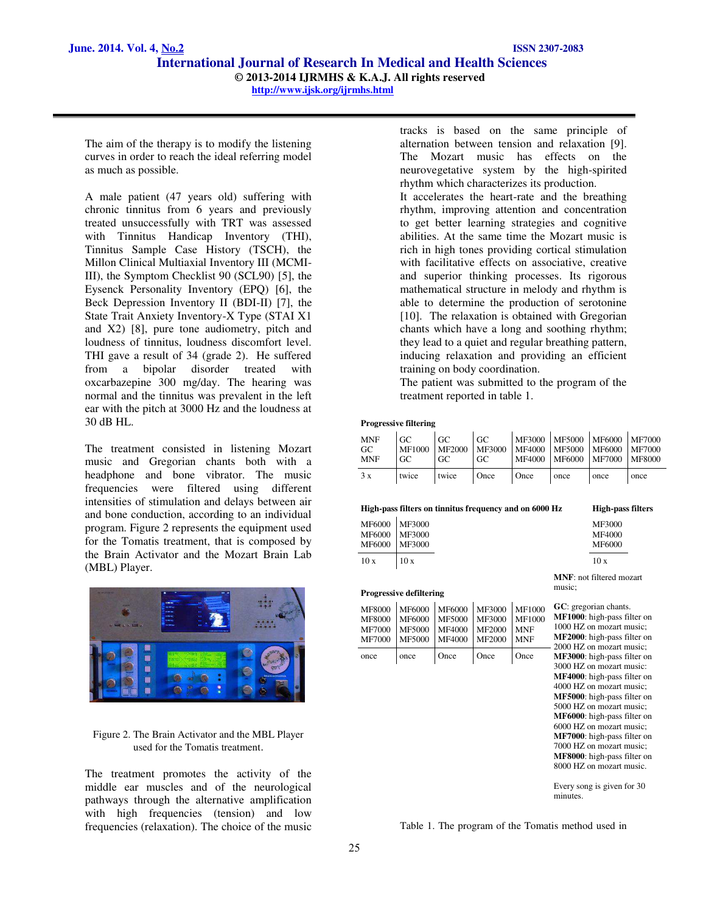The aim of the therapy is to modify the listening curves in order to reach the ideal referring model as much as possible.

A male patient (47 years old) suffering with chronic tinnitus from 6 years and previously treated unsuccessfully with TRT was assessed with Tinnitus Handicap Inventory (THI), Tinnitus Sample Case History (TSCH), the Millon Clinical Multiaxial Inventory III (MCMI-III), the Symptom Checklist 90 (SCL90) [5], the Eysenck Personality Inventory (EPQ) [6], the Beck Depression Inventory II (BDI-II) [7], the State Trait Anxiety Inventory-X Type (STAI X1 and X2) [8], pure tone audiometry, pitch and loudness of tinnitus, loudness discomfort level. THI gave a result of 34 (grade 2). He suffered from a bipolar disorder treated with oxcarbazepine 300 mg/day. The hearing was normal and the tinnitus was prevalent in the left ear with the pitch at 3000 Hz and the loudness at 30 dB HL.

The treatment consisted in listening Mozart music and Gregorian chants both with a headphone and bone vibrator. The music frequencies were filtered using different intensities of stimulation and delays between air and bone conduction, according to an individual program. Figure 2 represents the equipment used for the Tomatis treatment, that is composed by the Brain Activator and the Mozart Brain Lab (MBL) Player.



Figure 2. The Brain Activator and the MBL Player used for the Tomatis treatment.

The treatment promotes the activity of the middle ear muscles and of the neurological pathways through the alternative amplification with high frequencies (tension) and low frequencies (relaxation). The choice of the music tracks is based on the same principle of alternation between tension and relaxation [9]. The Mozart music has effects on the neurovegetative system by the high-spirited rhythm which characterizes its production.

It accelerates the heart-rate and the breathing rhythm, improving attention and concentration to get better learning strategies and cognitive abilities. At the same time the Mozart music is rich in high tones providing cortical stimulation with facilitative effects on associative, creative and superior thinking processes. Its rigorous mathematical structure in melody and rhythm is able to determine the production of serotonine [10]. The relaxation is obtained with Gregorian chants which have a long and soothing rhythm; they lead to a quiet and regular breathing pattern, inducing relaxation and providing an efficient training on body coordination.

The patient was submitted to the program of the treatment reported in table 1.

### **Progressive filtering**

| <b>MNF</b><br><b>GC</b><br><b>MNF</b> | $G$ C<br>GC. | GC.<br>GC. | GC.<br>  MF1000   MF2000   MF3000   MF4000   MF5000   MF6000   MF7000<br>GC. |      | MF3000 MF5000 MF6000 MF7000<br>MF4000 MF6000 MF7000 MF8000 |      |      |
|---------------------------------------|--------------|------------|------------------------------------------------------------------------------|------|------------------------------------------------------------|------|------|
| 3x                                    | twice        | twice      | Once                                                                         | Once | once                                                       | once | once |

|                                                 |               | High-pass filters on tinnitus frequency and on 6000 Hz | <b>High-pass filters</b>                 |
|-------------------------------------------------|---------------|--------------------------------------------------------|------------------------------------------|
| MF6000 MF3000<br>MF6000 MF3000<br><b>MF6000</b> | <b>MF3000</b> |                                                        | MF3000<br><b>MF4000</b><br><b>MF6000</b> |
| 10x                                             | 10x           |                                                        | 10x                                      |

#### **Progressive defiltering**

| <b>MF8000</b><br><b>MF8000</b><br>MF7000<br>MF7000 | MF6000<br>MF6000<br>MF5000<br>MF5000 | MF6000<br>MF5000<br>MF4000<br>MF4000 | <b>MF3000</b><br>MF3000<br>MF2000<br><b>MF2000</b> | MF1000<br>MF1000<br><b>MNF</b><br><b>MNF</b> |
|----------------------------------------------------|--------------------------------------|--------------------------------------|----------------------------------------------------|----------------------------------------------|
| once                                               | once                                 | Once                                 | Once                                               | Once                                         |
|                                                    |                                      |                                      |                                                    |                                              |

**GC**: gregorian chants. **MF1000**: high-pass filter on 1000 HZ on mozart music; **MF2000**: high-pass filter on 2000 HZ on mozart music; **MF3000**: high-pass filter on 3000 HZ on mozart music: **MF4000**: high-pass filter on 4000 HZ on mozart music; **MF5000**: high-pass filter on 5000 HZ on mozart music; **MF6000**: high-pass filter on 6000 HZ on mozart music; **MF7000**: high-pass filter on 7000 HZ on mozart music; **MF8000**: high-pass filter on 8000 HZ on mozart music.

**MNF**: not filtered mozart

music;

Every song is given for 30 minutes.

Table 1. The program of the Tomatis method used in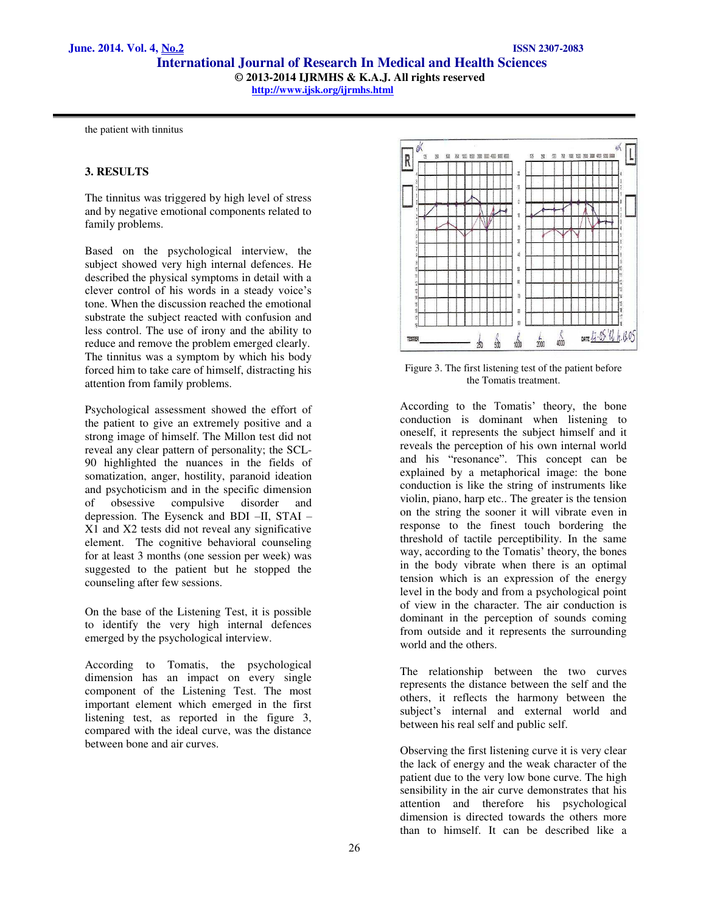# **International Journal of Research In Medical and Health Sciences © 2013-2014 IJRMHS & K.A.J. All rights reserved http://www.ijsk.org/ijrmhs.html**

the patient with tinnitus

# **3. RESULTS**

The tinnitus was triggered by high level of stress and by negative emotional components related to family problems.

Based on the psychological interview, the subject showed very high internal defences. He described the physical symptoms in detail with a clever control of his words in a steady voice's tone. When the discussion reached the emotional substrate the subject reacted with confusion and less control. The use of irony and the ability to reduce and remove the problem emerged clearly. The tinnitus was a symptom by which his body forced him to take care of himself, distracting his attention from family problems.

Psychological assessment showed the effort of the patient to give an extremely positive and a strong image of himself. The Millon test did not reveal any clear pattern of personality; the SCL-90 highlighted the nuances in the fields of somatization, anger, hostility, paranoid ideation and psychoticism and in the specific dimension of obsessive compulsive disorder and depression. The Eysenck and BDI –II, STAI – X1 and X2 tests did not reveal any significative element. The cognitive behavioral counseling for at least 3 months (one session per week) was suggested to the patient but he stopped the counseling after few sessions.

On the base of the Listening Test, it is possible to identify the very high internal defences emerged by the psychological interview.

According to Tomatis, the psychological dimension has an impact on every single component of the Listening Test. The most important element which emerged in the first listening test, as reported in the figure 3, compared with the ideal curve, was the distance between bone and air curves.



Figure 3. The first listening test of the patient before the Tomatis treatment.

According to the Tomatis' theory, the bone conduction is dominant when listening to oneself, it represents the subject himself and it reveals the perception of his own internal world and his "resonance". This concept can be explained by a metaphorical image: the bone conduction is like the string of instruments like violin, piano, harp etc.. The greater is the tension on the string the sooner it will vibrate even in response to the finest touch bordering the threshold of tactile perceptibility. In the same way, according to the Tomatis' theory, the bones in the body vibrate when there is an optimal tension which is an expression of the energy level in the body and from a psychological point of view in the character. The air conduction is dominant in the perception of sounds coming from outside and it represents the surrounding world and the others.

The relationship between the two curves represents the distance between the self and the others, it reflects the harmony between the subject's internal and external world and between his real self and public self.

Observing the first listening curve it is very clear the lack of energy and the weak character of the patient due to the very low bone curve. The high sensibility in the air curve demonstrates that his attention and therefore his psychological dimension is directed towards the others more than to himself. It can be described like a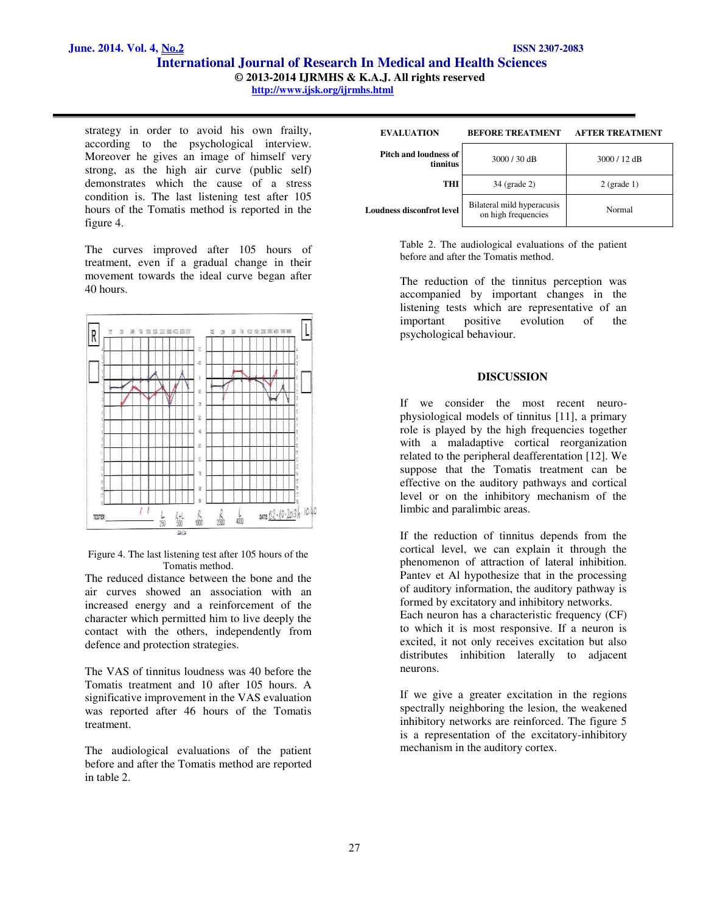strategy in order to avoid his own frailty, according to the psychological interview. Moreover he gives an image of himself very strong, as the high air curve (public self) demonstrates which the cause of a stress condition is. The last listening test after 105 hours of the Tomatis method is reported in the figure 4.

The curves improved after 105 hours of treatment, even if a gradual change in their movement towards the ideal curve began after 40 hours.



Figure 4. The last listening test after 105 hours of the Tomatis method.

The reduced distance between the bone and the air curves showed an association with an increased energy and a reinforcement of the character which permitted him to live deeply the contact with the others, independently from defence and protection strategies.

The VAS of tinnitus loudness was 40 before the Tomatis treatment and 10 after 105 hours. A significative improvement in the VAS evaluation was reported after 46 hours of the Tomatis treatment.

The audiological evaluations of the patient before and after the Tomatis method are reported in table 2.

| <b>EVALUATION</b>                        | <b>BEFORE TREATMENT</b>                           | <b>AFTER TREATMENT</b> |
|------------------------------------------|---------------------------------------------------|------------------------|
| <b>Pitch and loudness of</b><br>tinnitus | 3000 / 30 dB                                      | 3000 / 12 dB           |
| THI                                      | 34 (grade 2)                                      | $2$ (grade 1)          |
| Loudness disconfrot level                | Bilateral mild hyperacusis<br>on high frequencies | Normal                 |

Table 2. The audiological evaluations of the patient before and after the Tomatis method.

The reduction of the tinnitus perception was accompanied by important changes in the listening tests which are representative of an important positive evolution of the psychological behaviour.

# **DISCUSSION**

If we consider the most recent neurophysiological models of tinnitus [11], a primary role is played by the high frequencies together with a maladaptive cortical reorganization related to the peripheral deafferentation [12]. We suppose that the Tomatis treatment can be effective on the auditory pathways and cortical level or on the inhibitory mechanism of the limbic and paralimbic areas.

If the reduction of tinnitus depends from the cortical level, we can explain it through the phenomenon of attraction of lateral inhibition. Pantev et Al hypothesize that in the processing of auditory information, the auditory pathway is formed by excitatory and inhibitory networks. Each neuron has a characteristic frequency (CF) to which it is most responsive. If a neuron is excited, it not only receives excitation but also distributes inhibition laterally to adjacent neurons.

If we give a greater excitation in the regions spectrally neighboring the lesion, the weakened inhibitory networks are reinforced. The figure 5 is a representation of the excitatory-inhibitory mechanism in the auditory cortex.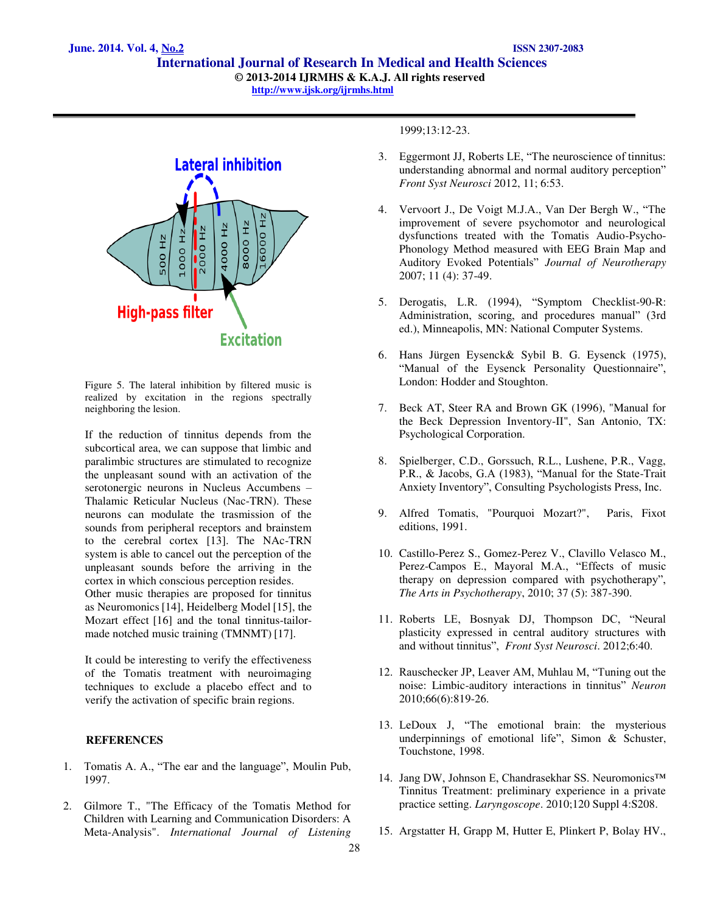**International Journal of Research In Medical and Health Sciences © 2013-2014 IJRMHS & K.A.J. All rights reserved http://www.ijsk.org/ijrmhs.html** 



Figure 5. The lateral inhibition by filtered music is realized by excitation in the regions spectrally neighboring the lesion.

If the reduction of tinnitus depends from the subcortical area, we can suppose that limbic and paralimbic structures are stimulated to recognize the unpleasant sound with an activation of the serotonergic neurons in Nucleus Accumbens – Thalamic Reticular Nucleus (Nac-TRN). These neurons can modulate the trasmission of the sounds from peripheral receptors and brainstem to the cerebral cortex [13]. The NAc-TRN system is able to cancel out the perception of the unpleasant sounds before the arriving in the cortex in which conscious perception resides. Other music therapies are proposed for tinnitus as Neuromonics[14], Heidelberg Model [15], the Mozart effect [16] and the tonal tinnitus-tailormade notched music training (TMNMT) [17].

It could be interesting to verify the effectiveness of the Tomatis treatment with neuroimaging techniques to exclude a placebo effect and to verify the activation of specific brain regions.

# **REFERENCES**

- 1. Tomatis A. A., "The ear and the language", Moulin Pub, 1997.
- 2. Gilmore T., "The Efficacy of the Tomatis Method for Children with Learning and Communication Disorders: A Meta-Analysis". *International Journal of Listening*

1999;13:12-23.

- 3. Eggermont JJ, Roberts LE, "The neuroscience of tinnitus: understanding abnormal and normal auditory perception" *Front Syst Neurosci* 2012, 11; 6:53.
- 4. Vervoort J., De Voigt M.J.A., Van Der Bergh W., "The improvement of severe psychomotor and neurological dysfunctions treated with the Tomatis Audio-Psycho-Phonology Method measured with EEG Brain Map and Auditory Evoked Potentials" *Journal of Neurotherapy* 2007; 11 (4): 37-49.
- 5. Derogatis, L.R. (1994), "Symptom Checklist-90-R: Administration, scoring, and procedures manual" (3rd ed.), Minneapolis, MN: National Computer Systems.
- 6. [Hans Jürgen Eysenck&](http://en.wikipedia.org/wiki/Hans_J¸rgen_Eysenck) [Sybil B. G. Eysenck](http://en.wikipedia.org/wiki/Sybil_B._G._Eysenck) (1975), "Manual of the Eysenck Personality Questionnaire", London: [Hodder and Stoughton.](http://en.wikipedia.org/wiki/Hodder_and_Stoughton)
- 7. Beck AT, Steer RA and Brown GK (1996), "Manual for the Beck Depression Inventory-II", San Antonio, TX: Psychological Corporation.
- 8. Spielberger, C.D., Gorssuch, R.L., Lushene, P.R., Vagg, P.R., & Jacobs, G.A (1983), "Manual for the State-Trait Anxiety Inventory", Consulting Psychologists Press, Inc.
- 9. Alfred Tomatis, "Pourquoi Mozart?", Paris, Fixot editions, 1991.
- 10. Castillo-Perez S., Gomez-Perez V., Clavillo Velasco M., Perez-Campos E., Mayoral M.A., "Effects of music therapy on depression compared with psychotherapy", *The Arts in Psychotherapy*, 2010; 37 (5): 387-390.
- 11. Roberts LE, Bosnyak DJ, Thompson DC, "Neural plasticity expressed in central auditory structures with and without tinnitus", *Front Syst Neurosci*. 2012;6:40.
- 12. Rauschecker JP, Leaver AM, Muhlau M, "Tuning out the noise: Limbic-auditory interactions in tinnitus" *Neuron* 2010;66(6):819-26.
- 13. LeDoux J, "The emotional brain: the mysterious underpinnings of emotional life", Simon & Schuster, Touchstone, 1998.
- 14. Jang DW, Johnson E, Chandrasekhar SS. Neuromonics™ Tinnitus Treatment: preliminary experience in a private practice setting. *Laryngoscope*. 2010;120 Suppl 4:S208.
- 15. Argstatter H, Grapp M, Hutter E, Plinkert P, Bolay HV.,